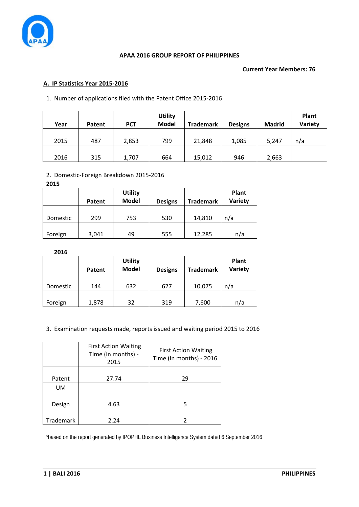

## **APAA 2016 GROUP REPORT OF PHILIPPINES**

### **Current Year Members: 76**

# **A. IP Statistics Year 2015-2016**

# 1. Number of applications filed with the Patent Office 2015-2016

| Year | Patent | <b>PCT</b> | <b>Utility</b><br><b>Model</b> | <b>Trademark</b> | <b>Designs</b> | <b>Madrid</b> | Plant<br>Variety |
|------|--------|------------|--------------------------------|------------------|----------------|---------------|------------------|
| 2015 | 487    | 2,853      | 799                            | 21,848           | 1,085          | 5,247         | n/a              |
| 2016 | 315    | 1,707      | 664                            | 15,012           | 946            | 2,663         |                  |

# 2. Domestic-Foreign Breakdown 2015-2016

| 2015     |        |                                |                |                  |                         |
|----------|--------|--------------------------------|----------------|------------------|-------------------------|
|          | Patent | <b>Utility</b><br><b>Model</b> | <b>Designs</b> | <b>Trademark</b> | <b>Plant</b><br>Variety |
| Domestic | 299    | 753                            | 530            | 14,810           | n/a                     |
| Foreign  | 3,041  | 49                             | 555            | 12,285           | n/a                     |

**2016**

|          | Patent | <b>Utility</b><br><b>Model</b> | <b>Designs</b> | <b>Trademark</b> | Plant<br>Variety |
|----------|--------|--------------------------------|----------------|------------------|------------------|
| Domestic | 144    | 632                            | 627            | 10,075           | n/a              |
| Foreign  | 1,878  | 32                             | 319            | 7,600            | n/a              |

# 3. Examination requests made, reports issued and waiting period 2015 to 2016

|           | <b>First Action Waiting</b><br>Time (in months) -<br>2015 | <b>First Action Waiting</b><br>Time (in months) - 2016 |
|-----------|-----------------------------------------------------------|--------------------------------------------------------|
| Patent    | 27.74                                                     | 29                                                     |
| UM.       |                                                           |                                                        |
| Design    | 4.63                                                      | 5                                                      |
| Trademark | 2.24                                                      |                                                        |

\*based on the report generated by IPOPHL Business Intelligence System dated 6 September 2016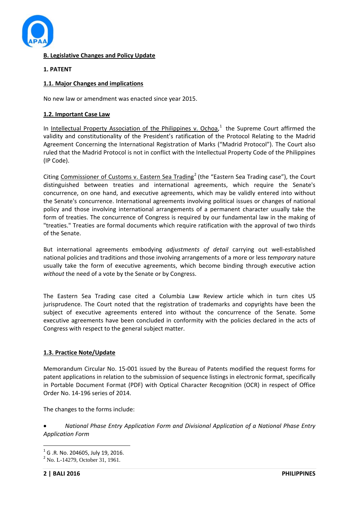

# **B. Legislative Changes and Policy Update**

# **1. PATENT**

## **1.1. Major Changes and implications**

No new law or amendment was enacted since year 2015.

### **1.2. Important Case Law**

In Intellectual Property Association of the Philippines v. Ochoa,<sup>[1](#page-1-0)</sup> the Supreme Court affirmed the validity and constitutionality of the President's ratification of the Protocol Relating to the Madrid Agreement Concerning the International Registration of Marks ("Madrid Protocol"). The Court also ruled that the Madrid Protocol is not in conflict with the Intellectual Property Code of the Philippines (IP Code).

Citing Commissioner of Customs v. Eastern Sea Trading<sup>[2](#page-1-1)</sup> (the "Eastern Sea Trading case"), the Court distinguished between treaties and international agreements, which require the Senate's concurrence, on one hand, and executive agreements, which may be validly entered into without the Senate's concurrence. International agreements involving political issues or changes of national policy and those involving international arrangements of a permanent character usually take the form of treaties. The concurrence of Congress is required by our fundamental law in the making of "treaties." Treaties are formal documents which require ratification with the approval of two thirds of the Senate.

But international agreements embodying *adjustments of detail* carrying out well-established national policies and traditions and those involving arrangements of a more or less *temporary* nature usually take the form of executive agreements, which become binding through executive action *without* the need of a vote by the Senate or by Congress.

The Eastern Sea Trading case cited a Columbia Law Review article which in turn cites US jurisprudence. The Court noted that the registration of trademarks and copyrights have been the subject of executive agreements entered into without the concurrence of the Senate. Some executive agreements have been concluded in conformity with the policies declared in the acts of Congress with respect to the general subject matter.

# **1.3. Practice Note/Update**

Memorandum Circular No. 15-001 issued by the Bureau of Patents modified the request forms for patent applications in relation to the submission of sequence listings in electronic format, specifically in Portable Document Format (PDF) with Optical Character Recognition (OCR) in respect of Office Order No. 14-196 series of 2014.

The changes to the forms include:

• *National Phase Entry Application Form and Divisional Application of a National Phase Entry Application Form*

<span id="page-1-1"></span><span id="page-1-0"></span><sup>&</sup>lt;sup>1</sup> G .R. No. 204605, July 19, 2016.<br><sup>2</sup> No. L-14279, October 31, 1961.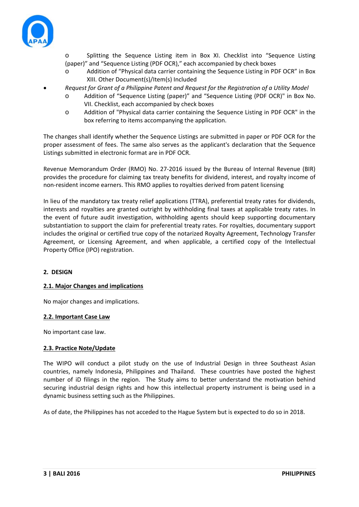

Splitting the Sequence Listing item in Box XI. Checklist into "Sequence Listing (paper)" and "Sequence Listing (PDF OCR)," each accompanied by check boxes

- o Addition of "Physical data carrier containing the Sequence Listing in PDF OCR" in Box XIII. Other Document(s)/Item(s) Included
- *Request for Grant of a Philippine Patent and Request for the Registration of a Utility Model*
	- o Addition of "Sequence Listing (paper)" and "Sequence Listing (PDF OCR)" in Box No. VII. Checklist, each accompanied by check boxes
	- o Addition of "Physical data carrier containing the Sequence Listing in PDF OCR" in the box referring to items accompanying the application.

The changes shall identify whether the Sequence Listings are submitted in paper or PDF OCR for the proper assessment of fees. The same also serves as the applicant's declaration that the Sequence Listings submitted in electronic format are in PDF OCR.

Revenue Memorandum Order (RMO) No. 27-2016 issued by the Bureau of Internal Revenue (BIR) provides the procedure for claiming tax treaty benefits for dividend, interest, and royalty income of non-resident income earners. This RMO applies to royalties derived from patent licensing

In lieu of the mandatory tax treaty relief applications (TTRA), preferential treaty rates for dividends, interests and royalties are granted outright by withholding final taxes at applicable treaty rates. In the event of future audit investigation, withholding agents should keep supporting documentary substantiation to support the claim for preferential treaty rates. For royalties, documentary support includes the original or certified true copy of the notarized Royalty Agreement, Technology Transfer Agreement, or Licensing Agreement, and when applicable, a certified copy of the Intellectual Property Office (IPO) registration.

# **2. DESIGN**

# **2.1. Major Changes and implications**

No major changes and implications.

#### **2.2. Important Case Law**

No important case law.

# **2.3. Practice Note/Update**

The WIPO will conduct a pilot study on the use of Industrial Design in three Southeast Asian countries, namely Indonesia, Philippines and Thailand. These countries have posted the highest number of iD filings in the region. The Study aims to better understand the motivation behind securing industrial design rights and how this intellectual property instrument is being used in a dynamic business setting such as the Philippines.

As of date, the Philippines has not acceded to the Hague System but is expected to do so in 2018.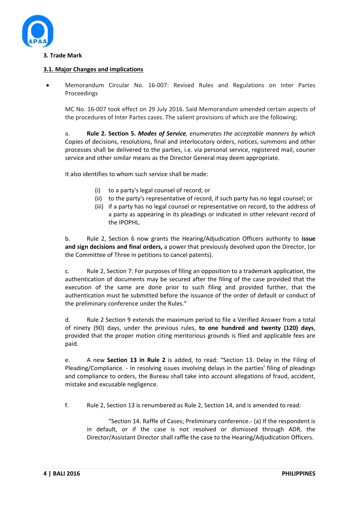

## **3. Trade Mark**

### **3.1. Major Changes and implications**

• Memorandum Circular No. 16-007: Revised Rules and Regulations on Inter Partes Proceedings

MC No. 16-007 took effect on 29 July 2016. Said Memorandum amended certain aspects of the procedures of Inter Partes cases. The salient provisions of which are the following;

a. **Rule 2. Section 5.** *Modes of Service, enumerates the acceptable manners by which* Copies of decisions, resolutions, final and interlocutory orders, notices, summons and other processes shall be delivered to the parties, i.e. via personal service, registered mail, courier service and other similar means as the Director General may deem appropriate.

It also identifies to whom such service shall be made:

- (i) to a party's legal counsel of record; or
- (ii) to the party's representative of record, if such party has no legal counsel; or
- (iii) if a party has no legal counsel or representative on record, to the address of a party as appearing in its pleadings or indicated in other relevant record of the IPOPHL.

b. Rule 2, Section 6 now grants the Hearing/Adjudication Officers authority to **issue and sign decisions and final orders,** a power that previously devolved upon the Director, (or the Committee of Three in petitions to cancel patents).

c. Rule 2, Section 7: For purposes of filing an opposition to a trademark application, the authentication of documents may be secured after the filing of the case provided that the execution of the same are done prior to such filing and provided further, that the authentication must be submitted before the issuance of the order of default or conduct of the preliminary conference under the Rules."

d. Rule 2 Section 9 extends the maximum period to file a Verified Answer from a total of ninety (90) days, under the previous rules, **to one hundred and twenty (120) days**, provided that the proper motion citing meritorious grounds is flied and applicable fees are paid.

e. A new **Section 13 in Rule 2** is added, to read: "Section 13. Delay in the Filing of Pleading/Compliance. - In resolving issues involving delays in the parties' filing of pleadings and compliance to orders, the Bureau shall take into account allegations of fraud, accident, mistake and excusable negligence.

f. Rule 2, Section 13 is renumbered as Rule 2, Section 14, and is amended to read:

"Section 14. Raffle of Cases; Preliminary conference.- (a) If the respondent is in default, or if the case is not resolved or dismissed through ADR, the Director/Assistant Director shall raffle the case to the Hearing/Adjudication Officers.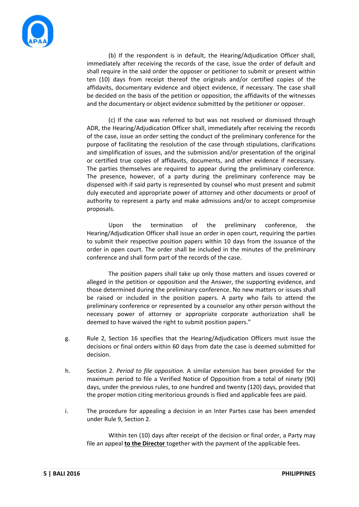

(b) If the respondent is in default, the Hearing/Adjudication Officer shall, immediately after receiving the records of the case, issue the order of default and shall require in the said order the opposer or petitioner to submit or present within ten (10) days from receipt thereof the originals and/or certified copies of the affidavits, documentary evidence and object evidence, if necessary. The case shall be decided on the basis of the petition or opposition, the affidavits of the witnesses and the documentary or object evidence submitted by the petitioner or opposer.

(c) If the case was referred to but was not resolved or dismissed through ADR, the Hearing/Adjudication Officer shall, immediately after receiving the records of the case, issue an order setting the conduct of the preliminary conference for the purpose of facilitating the resolution of the case through stipulations, clarifications and simplification of issues, and the submission and/or presentation of the original or certified true copies of affidavits, documents, and other evidence if necessary. The parties themselves are required to appear during the preliminary conference. The presence, however, of a party during the preliminary conference may be dispensed with if said party is represented by counsel who must present and submit duly executed and appropriate power of attorney and other documents or proof of authority to represent a party and make admissions and/or to accept compromise proposals.

Upon the termination of the preliminary conference, the Hearing/Adjudication Officer shall issue an order in open court, requiring the parties to submit their respective position papers within 10 days from the issuance of the order in open court. The order shall be included in the minutes of the preliminary conference and shall form part of the records of the case.

The position papers shall take up only those matters and issues covered or alleged in the petition or opposition and the Answer, the supporting evidence, and those determined during the preliminary conference. No new matters or issues shall be raised or included in the position papers. A party who fails to attend the preliminary conference or represented by a counselor any other person without the necessary power of attorney or appropriate corporate authorization shall be deemed to have waived the right to submit position papers."

- g. Rule 2, Section 16 specifies that the Hearing/Adjudication Officers must issue the decisions or final orders within 60 days from date the case is deemed submitted for decision.
- h. Section 2. *Period to file opposition.* A similar extension has been provided for the maximum period to file a Verified Notice of Opposition from a total of ninety (90) days, under the previous rules, to one hundred and twenty (120) days, provided that the proper motion citing meritorious grounds is flied and applicable fees are paid.
- i. The procedure for appealing a decision in an Inter Partes case has been amended under Rule 9, Section 2.

Within ten (10) days after receipt of the decision or final order, a Party may file an appeal **to the Director** together with the payment of the applicable fees.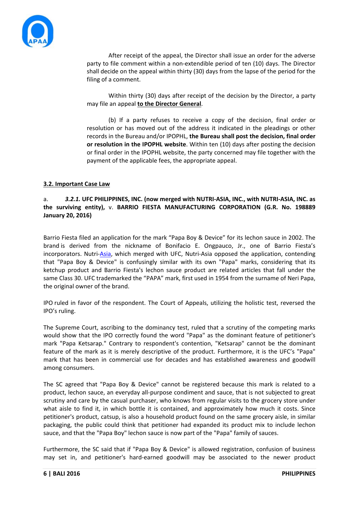

After receipt of the appeal, the Director shall issue an order for the adverse party to file comment within a non-extendible period of ten (10) days. The Director shall decide on the appeal within thirty (30) days from the lapse of the period for the filing of a comment.

Within thirty (30) days after receipt of the decision by the Director, a party may file an appeal **to the Director General**.

(b) If a party refuses to receive a copy of the decision, final order or resolution or has moved out of the address it indicated in the pleadings or other records in the Bureau and/or IPOPHL, **the Bureau shall post the decision, final order or resolution in the IPOPHL website**. Within ten (10) days after posting the decision or final order in the IPOPHL website, the party concerned may file together with the payment of the applicable fees, the appropriate appeal.

## **3.2. Important Case Law**

## a. *3.2.1.* **UFC PHILIPPINES, INC. (now merged with NUTRI-ASIA, INC., with NUTRI-ASIA, INC. as the surviving entity),** v. **BARRIO FIESTA MANUFACTURING CORPORATION (G.R. No. 198889 January 20, 2016)**

Barrio Fiesta filed an application for the mark "Papa Boy & Device" for its lechon sauce in 2002. The brand is derived from the nickname of Bonifacio E. Ongpauco, Jr., one of Barrio Fiesta's incorporators. Nutri[-Asia,](http://www.ibtimes.ph/sm-prime-plans-fewer-mall-openings-year-gears-mall-asia-expansion-1354854) which merged with UFC, Nutri-Asia opposed the application, contending that "Papa Boy & Device" is confusingly similar with its own "Papa" marks, considering that its ketchup product and Barrio Fiesta's lechon sauce product are related articles that fall under the same Class 30. UFC trademarked the "PAPA" mark, first used in 1954 from the surname of Neri Papa, the original owner of the brand.

IPO ruled in favor of the respondent. The Court of Appeals, utilizing the holistic test, reversed the IPO's ruling.

The Supreme Court, ascribing to the dominancy test, ruled that a scrutiny of the competing marks would show that the IPO correctly found the word "Papa" as the dominant feature of petitioner's mark "Papa Ketsarap." Contrary to respondent's contention, "Ketsarap" cannot be the dominant feature of the mark as it is merely descriptive of the product. Furthermore, it is the UFC's "Papa" mark that has been in commercial use for decades and has established awareness and goodwill among consumers.

The SC agreed that "Papa Boy & Device" cannot be registered because this mark is related to a product, lechon sauce, an everyday all-purpose condiment and sauce, that is not subjected to great scrutiny and care by the casual purchaser, who knows from regular visits to the grocery store under what aisle to find it, in which bottle it is contained, and approximately how much it costs. Since petitioner's product, catsup, is also a household product found on the same grocery aisle, in similar packaging, the public could think that petitioner had expanded its product mix to include lechon sauce, and that the "Papa Boy" lechon sauce is now part of the "Papa" family of sauces.

Furthermore, the SC said that if "Papa Boy & Device" is allowed registration, confusion of business may set in, and petitioner's hard-earned goodwill may be associated to the newer product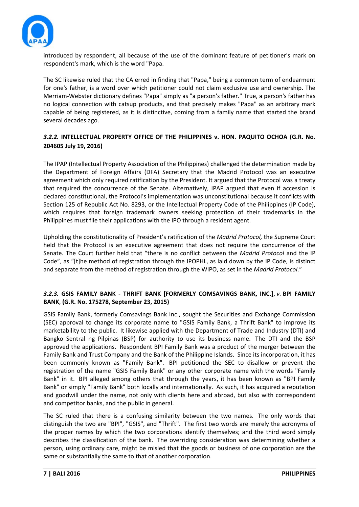

introduced by respondent, all because of the use of the dominant feature of petitioner's mark on respondent's mark, which is the word "Papa.

The SC likewise ruled that the CA erred in finding that "Papa," being a common term of endearment for one's father, is a word over which petitioner could not claim exclusive use and ownership. The Merriam-Webster dictionary defines "Papa" simply as "a person's father." True, a person's father has no logical connection with catsup products, and that precisely makes "Papa" as an arbitrary mark capable of being registered, as it is distinctive, coming from a family name that started the brand several decades ago.

# *3.2.2.* **INTELLECTUAL PROPERTY OFFICE OF THE PHILIPPINES v. HON. PAQUITO OCHOA (G.R. No. 204605 July 19, 2016)**

The IPAP (Intellectual Property Association of the Philippines) challenged the determination made by the Department of Foreign Affairs (DFA) Secretary that the Madrid Protocol was an executive agreement which only required ratification by the President. It argued that the Protocol was a treaty that required the concurrence of the Senate. Alternatively, IPAP argued that even if accession is declared constitutional, the Protocol's implementation was unconstitutional because it conflicts with Section 125 of Republic Act No. 8293, or the Intellectual Property Code of the Philippines (IP Code), which requires that foreign trademark owners seeking protection of their trademarks in the Philippines must file their applications with the IPO through a resident agent.

Upholding the constitutionality of President's ratification of the *Madrid Protocol,* the Supreme Court held that the Protocol is an executive agreement that does not require the concurrence of the Senate. The Court further held that "there is no conflict between the *Madrid Protocol* and the IP Code", as "[t]he method of registration through the IPOPHL, as laid down by the IP Code, is distinct and separate from the method of registration through the WIPO, as set in the *Madrid Protocol*."

# *3.2.3.* **GSIS FAMILY BANK - THRIFT BANK [FORMERLY COMSAVINGS BANK, INC.]**, *v.* **BPI FAMILY BANK**, **(G.R. No. 175278, September 23, 2015)**

GSIS Family Bank, formerly Comsavings Bank Inc., sought the Securities and Exchange Commission (SEC) approval to change its corporate name to "GSIS Family Bank, a Thrift Bank" to improve its marketability to the public. It likewise applied with the Department of Trade and Industry (DTI) and Bangko Sentral ng Pilpinas (BSP) for authority to use its business name. The DTI and the BSP approved the applications. Respondent BPI Family Bank was a product of the merger between the Family Bank and Trust Company and the Bank of the Philippine Islands. Since its incorporation, it has been commonly known as "Family Bank". BPI petitioned the SEC to disallow or prevent the registration of the name "GSIS Family Bank" or any other corporate name with the words "Family Bank" in it. BPI alleged among others that through the years, it has been known as "BPI Family Bank" or simply "Family Bank" both locally and internationally. As such, it has acquired a reputation and goodwill under the name, not only with clients here and abroad, but also with correspondent and competitor banks, and the public in general.

The SC ruled that there is a confusing similarity between the two names. The only words that distinguish the two are "BPI", "GSIS", and "Thrift". The first two words are merely the acronyms of the proper names by which the two corporations identify themselves; and the third word simply describes the classification of the bank. The overriding consideration was determining whether a person, using ordinary care, might be misled that the goods or business of one corporation are the same or substantially the same to that of another corporation.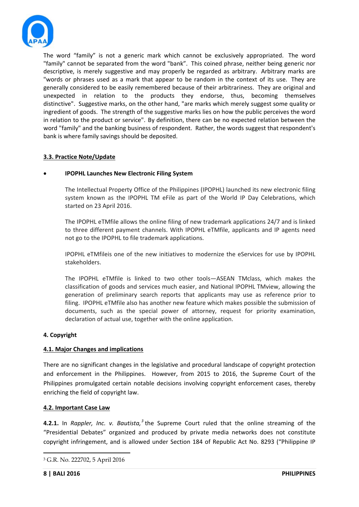

The word "family" is not a generic mark which cannot be exclusively appropriated. The word "family" cannot be separated from the word "bank". This coined phrase, neither being generic nor descriptive, is merely suggestive and may properly be regarded as arbitrary. Arbitrary marks are "words or phrases used as a mark that appear to be random in the context of its use. They are generally considered to be easily remembered because of their arbitrariness. They are original and unexpected in relation to the products they endorse, thus, becoming themselves distinctive". Suggestive marks, on the other hand, "are marks which merely suggest some quality or ingredient of goods. The strength of the suggestive marks lies on how the public perceives the word in relation to the product or service". By definition, there can be no expected relation between the word "family" and the banking business of respondent. Rather, the words suggest that respondent's bank is where family savings should be deposited.

# **3.3. Practice Note/Update**

#### • **IPOPHL Launches New Electronic Filing System**

The Intellectual Property Office of the Philippines (IPOPHL) launched its new electronic filing system known as the IPOPHL TM eFile as part of the World IP Day Celebrations, which started on 23 April 2016.

The IPOPHL eTMfile allows the online filing of new trademark applications 24/7 and is linked to three different payment channels. With IPOPHL eTMfile, applicants and IP agents need not go to the IPOPHL to file trademark applications.

IPOPHL eTMfileis one of the new initiatives to modernize the eServices for use by IPOPHL stakeholders.

The IPOPHL eTMfile is linked to two other tools—ASEAN TMclass, which makes the classification of goods and services much easier, and National IPOPHL TMview, allowing the generation of preliminary search reports that applicants may use as reference prior to filing. IPOPHL eTMfile also has another new feature which makes possible the submission of documents, such as the special power of attorney, request for priority examination, declaration of actual use, together with the online application.

#### **4. Copyright**

#### **4.1. Major Changes and implications**

There are no significant changes in the legislative and procedural landscape of copyright protection and enforcement in the Philippines. However, from 2015 to 2016, the Supreme Court of the Philippines promulgated certain notable decisions involving copyright enforcement cases, thereby enriching the field of copyright law.

#### **4.2. Important Case Law**

**4.2.1.** In *Rappler, Inc. v. Bautista,[3](#page-7-0)* the Supreme Court ruled that the online streaming of the "Presidential Debates" organized and produced by private media networks does not constitute copyright infringement, and is allowed under Section 184 of Republic Act No. 8293 ("Philippine IP

**.** 

<span id="page-7-0"></span><sup>3</sup> G.R. No. 222702, 5 April 2016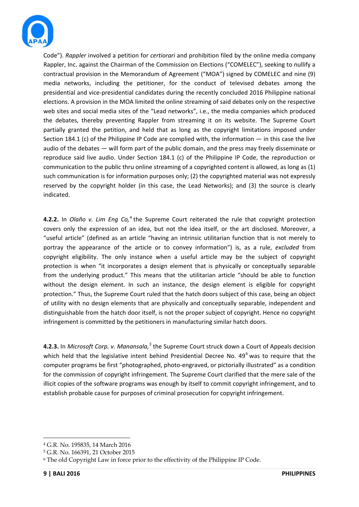

Code"). *Rappler* involved a petition for *certiorari* and prohibition filed by the online media company Rappler, Inc. against the Chairman of the Commission on Elections ("COMELEC"), seeking to nullify a contractual provision in the Memorandum of Agreement ("MOA") signed by COMELEC and nine (9) media networks, including the petitioner, for the conduct of televised debates among the presidential and vice-presidential candidates during the recently concluded 2016 Philippine national elections. A provision in the MOA limited the online streaming of said debates only on the respective web sites and social media sites of the "Lead networks", i.e., the media companies which produced the debates, thereby preventing Rappler from streaming it on its website. The Supreme Court partially granted the petition, and held that as long as the copyright limitations imposed under Section 184.1 (c) of the Philippine IP Code are complied with, the information  $-$  in this case the live audio of the debates — will form part of the public domain, and the press may freely disseminate or reproduce said live audio. Under Section 184.1 (c) of the Philippine IP Code, the reproduction or communication to the public thru online streaming of a copyrighted content is allowed, as long as (1) such communication is for information purposes only; (2) the copyrighted material was not expressly reserved by the copyright holder (in this case, the Lead Networks); and (3) the source is clearly indicated.

**[4](#page-8-0).2.2.** In *Olaño v. Lim Eng Co*,<sup>4</sup> the Supreme Court reiterated the rule that copyright protection covers only the expression of an idea, but not the idea itself, or the art disclosed. Moreover, a "useful article" (defined as an article "having an intrinsic utilitarian function that is not merely to portray the appearance of the article or to convey information") is, as a rule, *excluded* from copyright eligibility. The only instance when a useful article may be the subject of copyright protection is when "it incorporates a design element that is physically or conceptually separable from the underlying product." This means that the utilitarian article "should be able to function without the design element. In such an instance, the design element is eligible for copyright protection." Thus, the Supreme Court ruled that the hatch doors subject of this case, being an object of utility with no design elements that are physically and conceptually separable, independent and distinguishable from the hatch door itself, is not the proper subject of copyright. Hence no copyright infringement is committed by the petitioners in manufacturing similar hatch doors.

**4.2.3.** In *Microsoft Corp. v. Manansala,[5](#page-8-1)* the Supreme Court struck down a Court of Appeals decision which held that the legislative intent behind Presidential Decree No. 49<sup>[6](#page-8-2)</sup> was to require that the computer programs be first "photographed, photo-engraved, or pictorially illustrated" as a condition for the commission of copyright infringement. The Supreme Court clarified that the mere sale of the illicit copies of the software programs was enough by itself to commit copyright infringement, and to establish probable cause for purposes of criminal prosecution for copyright infringement.

**.** 

<span id="page-8-0"></span><sup>4</sup> G.R. No. 195835, 14 March 2016

<span id="page-8-1"></span><sup>5</sup> G.R. No. 166391, 21 October 2015

<span id="page-8-2"></span><sup>6</sup> The old Copyright Law in force prior to the effectivity of the Philippine IP Code.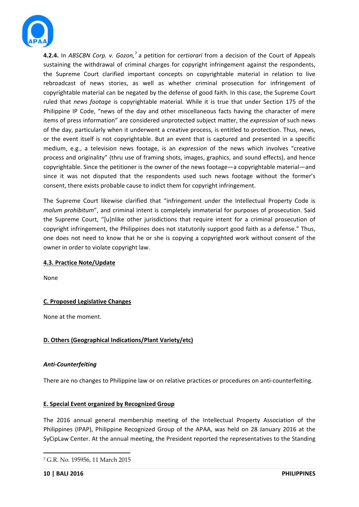

**4.2.4.** In *ABSCBN Corp. v. Gozon,*[7](#page-9-0) a petition for *certiorari* from a decision of the Court of Appeals sustaining the withdrawal of criminal charges for copyright infringement against the respondents, the Supreme Court clarified important concepts on copyrightable material in relation to live rebroadcast of news stories, as well as whether criminal prosecution for infringement of copyrightable material can be negated by the defense of good faith. In this case, the Supreme Court ruled that *news footage* is copyrightable material. While it is true that under Section 175 of the Philippine IP Code, "news of the day and other miscellaneous facts having the character of mere items of press information" are considered unprotected subject matter, the *expression* of such news of the day, particularly when it underwent a creative process, is entitled to protection. Thus, news, or the event itself is not copyrightable. But an event that is captured and presented in a specific medium, e.g., a television news footage, is an *expression* of the news which involves "creative process and originality" (thru use of framing shots, images, graphics, and sound effects), and hence copyrightable. Since the petitioner is the owner of the news footage—a copyrightable material—and since it was not disputed that the respondents used such news footage without the former's consent, there exists probable cause to indict them for copyright infringement.

The Supreme Court likewise clarified that "infringement under the Intellectual Property Code is *malum prohibitum*", and criminal intent is completely immaterial for purposes of prosecution. Said the Supreme Court, "[u]nlike other jurisdictions that require intent for a criminal prosecution of copyright infringement, the Philippines does not statutorily support good faith as a defense." Thus, one does not need to know that he or she is copying a copyrighted work without consent of the owner in order to violate copyright law.

# **4.3. Practice Note/Update**

None

# **C. Proposed Legislative Changes**

None at the moment.

# **D. Others (Geographical Indications/Plant Variety/etc)**

# *Anti-Counterfeiting*

There are no changes to Philippine law or on relative practices or procedures on anti-counterfeiting.

# **E. Special Event organized by Recognized Group**

The 2016 annual general membership meeting of the Intellectual Property Association of the Philippines (IPAP), Philippine Recognized Group of the APAA, was held on 28 January 2016 at the SyCipLaw Center. At the annual meeting, the President reported the representatives to the Standing

**.** 

<span id="page-9-0"></span><sup>7</sup> G.R. No. 195956, 11 March 2015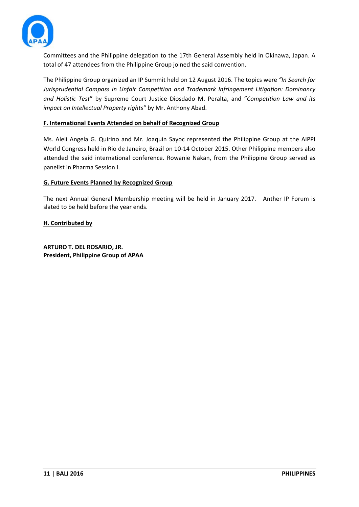

Committees and the Philippine delegation to the 17th General Assembly held in Okinawa, Japan. A total of 47 attendees from the Philippine Group joined the said convention.

The Philippine Group organized an IP Summit held on 12 August 2016. The topics were *"In Search for Jurisprudential Compass in Unfair Competition and Trademark Infringement Litigation: Dominancy and Holistic Test*" by Supreme Court Justice Diosdado M. Peralta, and "*Competition Law and its impact on Intellectual Property rights"* by Mr. Anthony Abad.

## **F. International Events Attended on behalf of Recognized Group**

Ms. Aleli Angela G. Quirino and Mr. Joaquin Sayoc represented the Philippine Group at the AIPPI World Congress held in Rio de Janeiro, Brazil on 10-14 October 2015. Other Philippine members also attended the said international conference. Rowanie Nakan, from the Philippine Group served as panelist in Pharma Session I.

## **G. Future Events Planned by Recognized Group**

The next Annual General Membership meeting will be held in January 2017. Anther IP Forum is slated to be held before the year ends.

**H. Contributed by**

**ARTURO T. DEL ROSARIO, JR. President, Philippine Group of APAA**